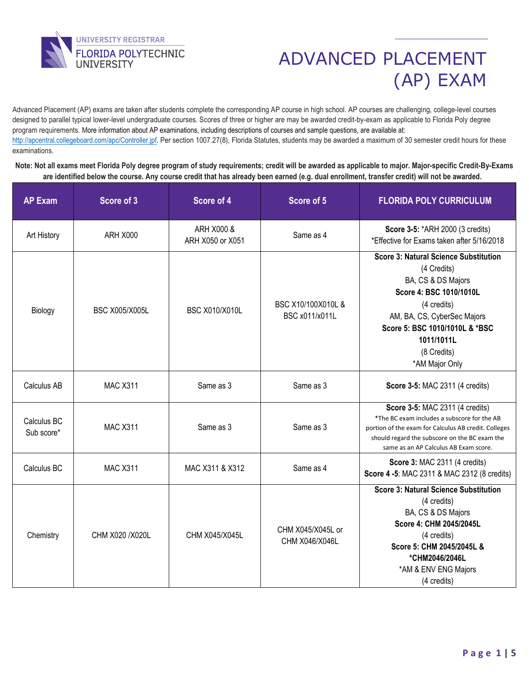

Advanced Placement (AP) exams are taken after students complete the corresponding AP course in high school. AP courses are challenging, college-level courses designed to parallel typical lower-level undergraduate courses. Scores of three or higher are may be awarded credit-by-exam as applicable to Florida Poly degree program requirements. More information about AP examinations, including descriptions of courses and sample questions, are available at: [http://apcentral.collegeboard.com/apc/Controller.jpf.](http://apcentral.collegeboard.com/apc/Controller.jpf) Per section 1007.27(8), Florida Statutes, students may be awarded a maximum of 30 semester credit hours for these examinations.

**Note: Not all exams meet Florida Poly degree program of study requirements; credit will be awarded as applicable to major. Major-specific Credit-By-Exams are identified below the course. Any course credit that has already been earned (e.g. dual enrollment, transfer credit) will not be awarded.**

| <b>AP Exam</b>            | Score of 3            | Score of 4                                                    | Score of 5                          | <b>FLORIDA POLY CURRICULUM</b>                                                                                                                                                                                                              |  |
|---------------------------|-----------------------|---------------------------------------------------------------|-------------------------------------|---------------------------------------------------------------------------------------------------------------------------------------------------------------------------------------------------------------------------------------------|--|
| Art History               | ARH X000              | ARH X000 &<br>ARH X050 or X051                                | Same as 4                           | Score 3-5: *ARH 2000 (3 credits)<br>*Effective for Exams taken after 5/16/2018                                                                                                                                                              |  |
| Biology                   | <b>BSC X005/X005L</b> | BSC X10/100X010L &<br><b>BSC X010/X010L</b><br>BSC x011/x011L |                                     | <b>Score 3: Natural Science Substitution</b><br>(4 Credits)<br>BA, CS & DS Majors<br>Score 4: BSC 1010/1010L<br>(4 credits)<br>AM, BA, CS, CyberSec Majors<br>Score 5: BSC 1010/1010L & *BSC<br>1011/1011L<br>(8 Credits)<br>*AM Major Only |  |
| Calculus AB               | <b>MAC X311</b>       | Same as 3                                                     | Same as 3                           | Score 3-5: MAC 2311 (4 credits)                                                                                                                                                                                                             |  |
| Calculus BC<br>Sub score* | <b>MAC X311</b>       | Same as 3                                                     | Same as 3                           | Score 3-5: MAC 2311 (4 credits)<br>*The BC exam includes a subscore for the AB<br>portion of the exam for Calculus AB credit. Colleges<br>should regard the subscore on the BC exam the<br>same as an AP Calculus AB Exam score.            |  |
| Calculus BC               | <b>MAC X311</b>       | MAC X311 & X312                                               | Same as 4                           | Score 3: MAC 2311 (4 credits)<br>Score 4 -5: MAC 2311 & MAC 2312 (8 credits)                                                                                                                                                                |  |
| Chemistry                 | CHM X020 / X020L      | CHM X045/X045L                                                | CHM X045/X045L or<br>CHM X046/X046L | <b>Score 3: Natural Science Substitution</b><br>(4 credits)<br>BA, CS & DS Majors<br>Score 4: CHM 2045/2045L<br>(4 credits)<br>Score 5: CHM 2045/2045L &<br>*CHM2046/2046L<br>*AM & ENV ENG Majors<br>(4 credits)                           |  |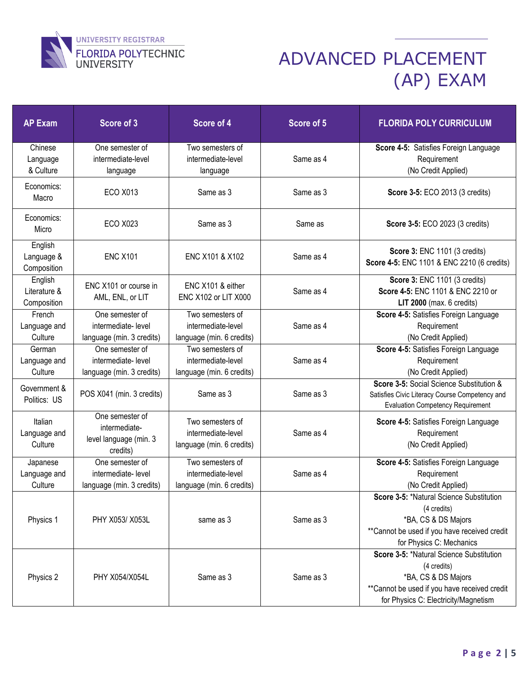

| <b>AP Exam</b>                         | Score of 3                                                             | Score of 4<br>Score of 5                                            |           | <b>FLORIDA POLY CURRICULUM</b>                                                                                                                                         |  |
|----------------------------------------|------------------------------------------------------------------------|---------------------------------------------------------------------|-----------|------------------------------------------------------------------------------------------------------------------------------------------------------------------------|--|
| Chinese<br>Language<br>& Culture       | One semester of<br>intermediate-level<br>language                      | Two semesters of<br>intermediate-level<br>Same as 4<br>language     |           | Score 4-5: Satisfies Foreign Language<br>Requirement<br>(No Credit Applied)                                                                                            |  |
| Economics:<br>Macro                    | <b>ECO X013</b>                                                        | Same as 3                                                           | Same as 3 | Score 3-5: ECO 2013 (3 credits)                                                                                                                                        |  |
| Economics:<br>Micro                    | <b>ECO X023</b>                                                        | Same as 3                                                           | Same as   | Score 3-5: ECO 2023 (3 credits)                                                                                                                                        |  |
| English<br>Language &<br>Composition   | <b>ENC X101</b>                                                        | ENC X101 & X102                                                     | Same as 4 | Score 3: ENC 1101 (3 credits)<br>Score 4-5: ENC 1101 & ENC 2210 (6 credits)                                                                                            |  |
| English<br>Literature &<br>Composition | ENC X101 or course in<br>AML, ENL, or LIT                              | ENC X101 & either<br>ENC X102 or LIT X000                           | Same as 4 | Score 3: ENC 1101 (3 credits)<br>Score 4-5: ENC 1101 & ENC 2210 or<br>LIT $2000$ (max. 6 credits)                                                                      |  |
| French<br>Language and<br>Culture      | One semester of<br>intermediate-level<br>language (min. 3 credits)     | Two semesters of<br>intermediate-level<br>language (min. 6 credits) | Same as 4 | Score 4-5: Satisfies Foreign Language<br>Requirement<br>(No Credit Applied)                                                                                            |  |
| German<br>Language and<br>Culture      | One semester of<br>intermediate-level<br>language (min. 3 credits)     | Two semesters of<br>intermediate-level<br>language (min. 6 credits) | Same as 4 | Score 4-5: Satisfies Foreign Language<br>Requirement<br>(No Credit Applied)                                                                                            |  |
| Government &<br>Politics: US           | POS X041 (min. 3 credits)                                              | Same as 3                                                           | Same as 3 | Score 3-5: Social Science Substitution &<br>Satisfies Civic Literacy Course Competency and<br><b>Evaluation Competency Requirement</b>                                 |  |
| Italian<br>Language and<br>Culture     | One semester of<br>intermediate-<br>level language (min. 3<br>credits) | Two semesters of<br>intermediate-level<br>language (min. 6 credits) | Same as 4 | Score 4-5: Satisfies Foreign Language<br>Requirement<br>(No Credit Applied)                                                                                            |  |
| Japanese<br>Language and<br>Culture    | One semester of<br>intermediate-level<br>language (min. 3 credits)     | Two semesters of<br>intermediate-level<br>language (min. 6 credits) | Same as 4 | Score 4-5: Satisfies Foreign Language<br>Requirement<br>(No Credit Applied)                                                                                            |  |
| Physics 1                              | PHY X053/ X053L                                                        | same as 3                                                           | Same as 3 | Score 3-5: *Natural Science Substitution<br>(4 credits)<br>*BA, CS & DS Majors<br>**Cannot be used if you have received credit<br>for Physics C: Mechanics             |  |
| Physics 2                              | PHY X054/X054L                                                         | Same as 3                                                           |           | Score 3-5: *Natural Science Substitution<br>(4 credits)<br>*BA, CS & DS Majors<br>**Cannot be used if you have received credit<br>for Physics C: Electricity/Magnetism |  |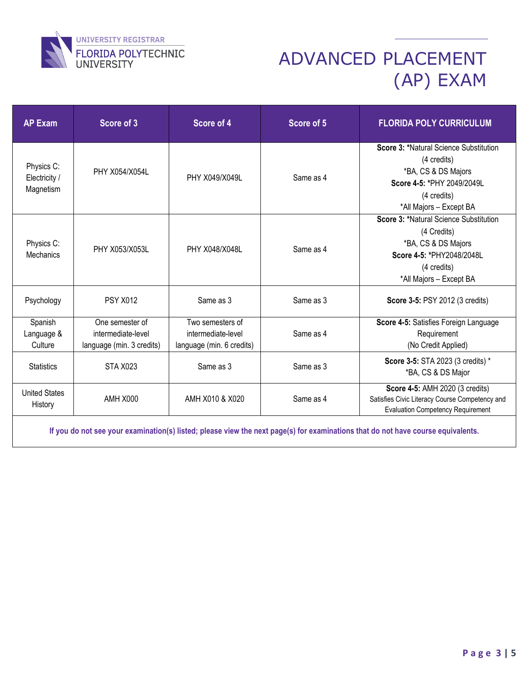

| <b>AP Exam</b>                           | Score of 3                                                         | Score of 4                                                          | Score of 5 | <b>FLORIDA POLY CURRICULUM</b>                                                                                                                       |  |
|------------------------------------------|--------------------------------------------------------------------|---------------------------------------------------------------------|------------|------------------------------------------------------------------------------------------------------------------------------------------------------|--|
| Physics C:<br>Electricity /<br>Magnetism | PHY X054/X054L                                                     | PHY X049/X049L                                                      | Same as 4  | Score 3: *Natural Science Substitution<br>(4 credits)<br>*BA, CS & DS Majors<br>Score 4-5: *PHY 2049/2049L<br>(4 credits)<br>*All Majors - Except BA |  |
| Physics C:<br>Mechanics                  | PHY X053/X053L                                                     | PHY X048/X048L                                                      | Same as 4  | Score 3: *Natural Science Substitution<br>(4 Credits)<br>*BA, CS & DS Majors<br>Score 4-5: *PHY2048/2048L<br>(4 credits)<br>*All Majors - Except BA  |  |
| Psychology                               | <b>PSY X012</b>                                                    | Same as 3                                                           | Same as 3  | Score 3-5: PSY 2012 (3 credits)                                                                                                                      |  |
| Spanish<br>Language &<br>Culture         | One semester of<br>intermediate-level<br>language (min. 3 credits) | Two semesters of<br>intermediate-level<br>language (min. 6 credits) | Same as 4  | Score 4-5: Satisfies Foreign Language<br>Requirement<br>(No Credit Applied)                                                                          |  |
| <b>Statistics</b>                        | STA X023                                                           | Same as 3                                                           | Same as 3  | Score 3-5: STA 2023 (3 credits) *<br>*BA, CS & DS Major                                                                                              |  |
| <b>United States</b><br>History          | AMH X000                                                           | AMH X010 & X020                                                     | Same as 4  | Score 4-5: AMH 2020 (3 credits)<br>Satisfies Civic Literacy Course Competency and<br><b>Evaluation Competency Requirement</b>                        |  |

**If you do not see your examination(s) listed; please view the next page(s) for examinations that do not have course equivalents.**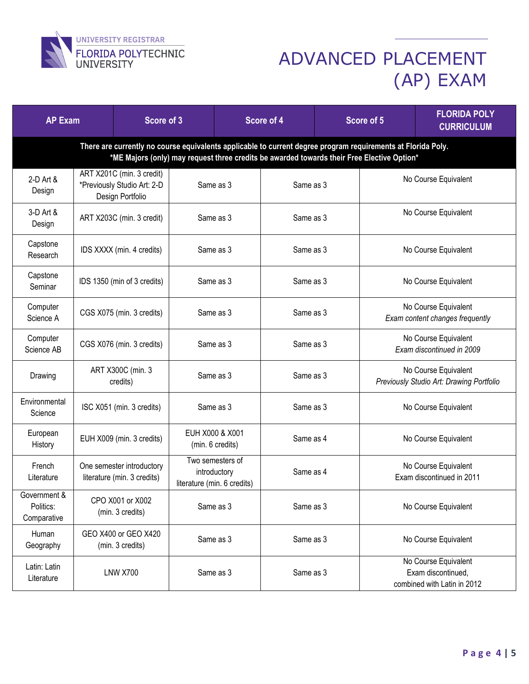

| <b>AP Exam</b>                                                                                                                                                                                             |                                                                              | Score of 3                                                       |           | Score of 4                                                      |                                                                           | Score of 5 |                                                                  | <b>FLORIDA POLY</b><br><b>CURRICULUM</b> |  |
|------------------------------------------------------------------------------------------------------------------------------------------------------------------------------------------------------------|------------------------------------------------------------------------------|------------------------------------------------------------------|-----------|-----------------------------------------------------------------|---------------------------------------------------------------------------|------------|------------------------------------------------------------------|------------------------------------------|--|
| There are currently no course equivalents applicable to current degree program requirements at Florida Poly.<br>*ME Majors (only) may request three credits be awarded towards their Free Elective Option* |                                                                              |                                                                  |           |                                                                 |                                                                           |            |                                                                  |                                          |  |
| 2-D Art &<br>Design                                                                                                                                                                                        | ART X201C (min. 3 credit)<br>*Previously Studio Art: 2-D<br>Design Portfolio |                                                                  | Same as 3 |                                                                 | Same as 3                                                                 |            | No Course Equivalent                                             |                                          |  |
| 3-D Art &<br>Design                                                                                                                                                                                        |                                                                              | ART X203C (min. 3 credit)                                        | Same as 3 |                                                                 | Same as 3                                                                 |            | No Course Equivalent                                             |                                          |  |
| Capstone<br>Research                                                                                                                                                                                       | IDS XXXX (min. 4 credits)                                                    |                                                                  | Same as 3 |                                                                 | Same as 3                                                                 |            | No Course Equivalent                                             |                                          |  |
| Capstone<br>Seminar                                                                                                                                                                                        |                                                                              | IDS 1350 (min of 3 credits)                                      |           | Same as 3                                                       | Same as 3                                                                 |            | No Course Equivalent                                             |                                          |  |
| Computer<br>Science A                                                                                                                                                                                      | CGS X075 (min. 3 credits)                                                    |                                                                  | Same as 3 |                                                                 | Same as 3                                                                 |            | No Course Equivalent<br>Exam content changes frequently          |                                          |  |
| Computer<br>Science AB                                                                                                                                                                                     | CGS X076 (min. 3 credits)                                                    |                                                                  | Same as 3 |                                                                 | Same as 3                                                                 |            | No Course Equivalent<br>Exam discontinued in 2009                |                                          |  |
| Drawing                                                                                                                                                                                                    | ART X300C (min. 3<br>credits)                                                |                                                                  | Same as 3 |                                                                 | Same as 3                                                                 |            | No Course Equivalent<br>Previously Studio Art: Drawing Portfolio |                                          |  |
| Environmental<br>Science                                                                                                                                                                                   | ISC X051 (min. 3 credits)                                                    |                                                                  | Same as 3 |                                                                 | Same as 3                                                                 |            | No Course Equivalent                                             |                                          |  |
| European<br>History                                                                                                                                                                                        |                                                                              | EUH X000 & X001<br>EUH X009 (min. 3 credits)<br>(min. 6 credits) |           |                                                                 | Same as 4                                                                 |            |                                                                  | No Course Equivalent                     |  |
| French<br>Literature                                                                                                                                                                                       | One semester introductory<br>literature (min. 3 credits)                     |                                                                  |           | Two semesters of<br>introductory<br>literature (min. 6 credits) | Same as 4                                                                 |            | No Course Equivalent<br>Exam discontinued in 2011                |                                          |  |
| Government &<br>Politics:<br>Comparative                                                                                                                                                                   |                                                                              | CPO X001 or X002<br>Same as 3<br>Same as 3<br>(min. 3 credits)   |           |                                                                 |                                                                           |            | No Course Equivalent                                             |                                          |  |
| Human<br>Geography                                                                                                                                                                                         |                                                                              | GEO X400 or GEO X420<br>(min. 3 credits)                         | Same as 3 |                                                                 | Same as 3                                                                 |            | No Course Equivalent                                             |                                          |  |
| Latin: Latin<br>Literature                                                                                                                                                                                 | <b>LNW X700</b><br>Same as 3                                                 |                                                                  | Same as 3 |                                                                 | No Course Equivalent<br>Exam discontinued,<br>combined with Latin in 2012 |            |                                                                  |                                          |  |